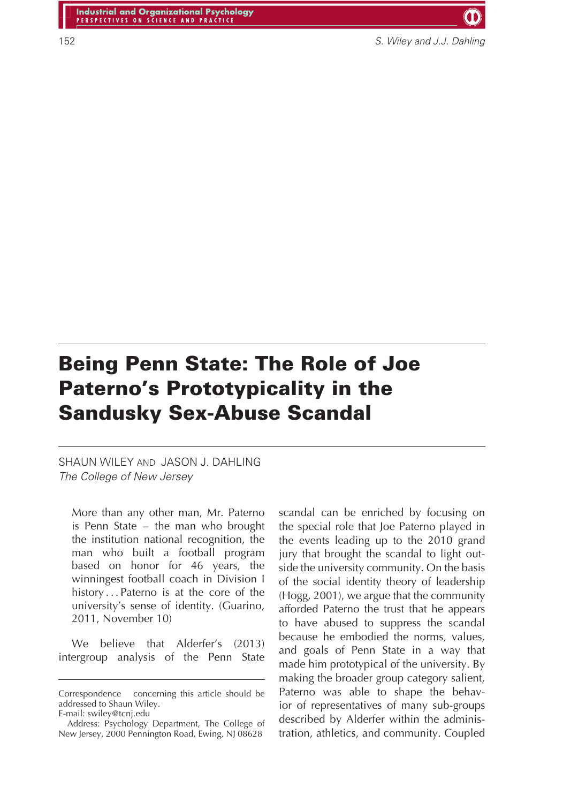152 S. Wiley and J.J. Dahling

# **Being Penn State: The Role of Joe Paterno's Prototypicality in the Sandusky Sex-Abuse Scandal**

SHAUN WILEY AND JASON J. DAHLING The College of New Jersey

More than any other man, Mr. Paterno is Penn State – the man who brought the institution national recognition, the man who built a football program based on honor for 46 years, the winningest football coach in Division I history *...* Paterno is at the core of the university's sense of identity. (Guarino, 2011, November 10)

We believe that Alderfer's (2013) intergroup analysis of the Penn State scandal can be enriched by focusing on the special role that Joe Paterno played in the events leading up to the 2010 grand jury that brought the scandal to light outside the university community. On the basis of the social identity theory of leadership (Hogg, 2001), we argue that the community afforded Paterno the trust that he appears to have abused to suppress the scandal because he embodied the norms, values, and goals of Penn State in a way that made him prototypical of the university. By making the broader group category salient, Paterno was able to shape the behavior of representatives of many sub-groups described by Alderfer within the administration, athletics, and community. Coupled

Correspondence concerning this article should be addressed to Shaun Wiley. E-mail: swiley@tcnj.edu

Address: Psychology Department, The College of New Jersey, 2000 Pennington Road, Ewing, NJ 08628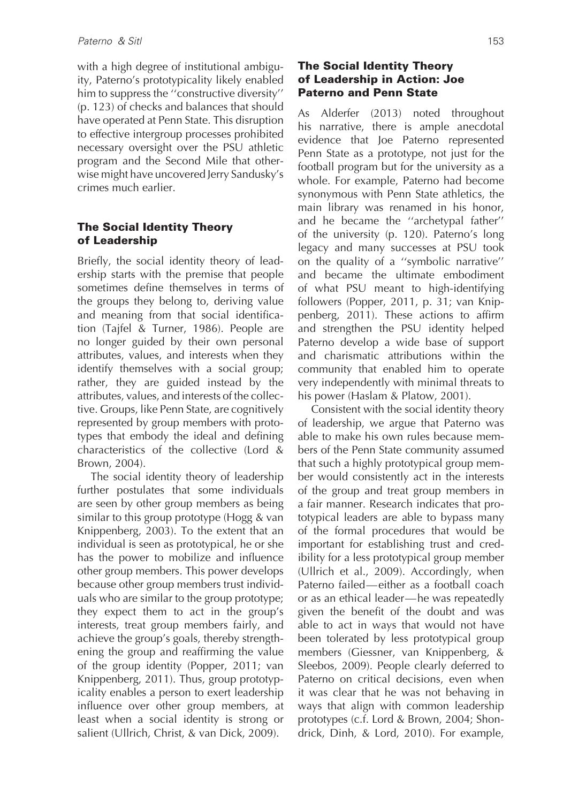with a high degree of institutional ambiguity, Paterno's prototypicality likely enabled him to suppress the ''constructive diversity'' (p. 123) of checks and balances that should have operated at Penn State. This disruption to effective intergroup processes prohibited necessary oversight over the PSU athletic program and the Second Mile that otherwise might have uncovered Jerry Sandusky's crimes much earlier.

### **The Social Identity Theory of Leadership**

Briefly, the social identity theory of leadership starts with the premise that people sometimes define themselves in terms of the groups they belong to, deriving value and meaning from that social identification (Tajfel & Turner, 1986). People are no longer guided by their own personal attributes, values, and interests when they identify themselves with a social group; rather, they are guided instead by the attributes, values, and interests of the collective. Groups, like Penn State, are cognitively represented by group members with prototypes that embody the ideal and defining characteristics of the collective (Lord & Brown, 2004).

The social identity theory of leadership further postulates that some individuals are seen by other group members as being similar to this group prototype (Hogg & van Knippenberg, 2003). To the extent that an individual is seen as prototypical, he or she has the power to mobilize and influence other group members. This power develops because other group members trust individuals who are similar to the group prototype; they expect them to act in the group's interests, treat group members fairly, and achieve the group's goals, thereby strengthening the group and reaffirming the value of the group identity (Popper, 2011; van Knippenberg, 2011). Thus, group prototypicality enables a person to exert leadership influence over other group members, at least when a social identity is strong or salient (Ullrich, Christ, & van Dick, 2009).

#### **The Social Identity Theory of Leadership in Action: Joe Paterno and Penn State**

As Alderfer (2013) noted throughout his narrative, there is ample anecdotal evidence that Joe Paterno represented Penn State as a prototype, not just for the football program but for the university as a whole. For example, Paterno had become synonymous with Penn State athletics, the main library was renamed in his honor, and he became the ''archetypal father'' of the university (p. 120). Paterno's long legacy and many successes at PSU took on the quality of a ''symbolic narrative'' and became the ultimate embodiment of what PSU meant to high-identifying followers (Popper, 2011, p. 31; van Knippenberg, 2011). These actions to affirm and strengthen the PSU identity helped Paterno develop a wide base of support and charismatic attributions within the community that enabled him to operate very independently with minimal threats to his power (Haslam & Platow, 2001).

Consistent with the social identity theory of leadership, we argue that Paterno was able to make his own rules because members of the Penn State community assumed that such a highly prototypical group member would consistently act in the interests of the group and treat group members in a fair manner. Research indicates that prototypical leaders are able to bypass many of the formal procedures that would be important for establishing trust and credibility for a less prototypical group member (Ullrich et al., 2009). Accordingly, when Paterno failed—either as a football coach or as an ethical leader—he was repeatedly given the benefit of the doubt and was able to act in ways that would not have been tolerated by less prototypical group members (Giessner, van Knippenberg, & Sleebos, 2009). People clearly deferred to Paterno on critical decisions, even when it was clear that he was not behaving in ways that align with common leadership prototypes (c.f. Lord & Brown, 2004; Shondrick, Dinh, & Lord, 2010). For example,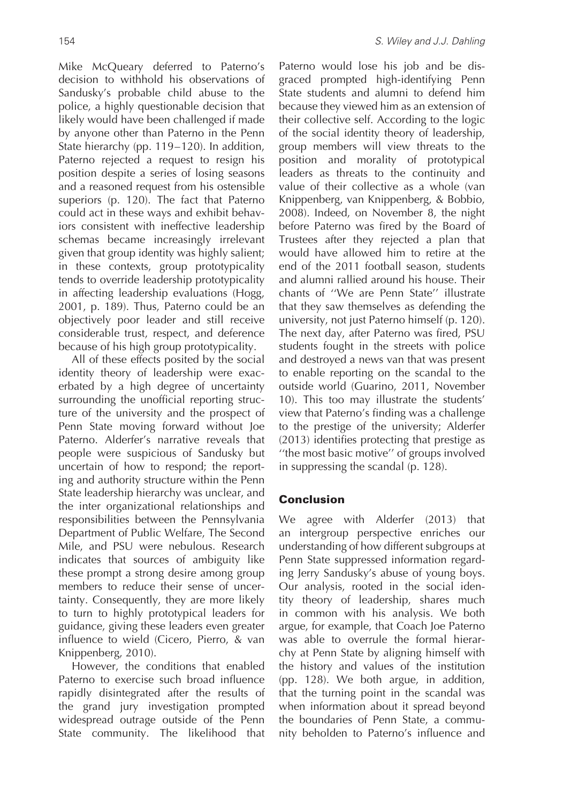Mike McQueary deferred to Paterno's decision to withhold his observations of Sandusky's probable child abuse to the police, a highly questionable decision that likely would have been challenged if made by anyone other than Paterno in the Penn State hierarchy (pp. 119–120). In addition, Paterno rejected a request to resign his position despite a series of losing seasons and a reasoned request from his ostensible superiors (p. 120). The fact that Paterno could act in these ways and exhibit behaviors consistent with ineffective leadership schemas became increasingly irrelevant given that group identity was highly salient; in these contexts, group prototypicality tends to override leadership prototypicality in affecting leadership evaluations (Hogg,

2001, p. 189). Thus, Paterno could be an objectively poor leader and still receive considerable trust, respect, and deference because of his high group prototypicality. All of these effects posited by the social identity theory of leadership were exac-

erbated by a high degree of uncertainty surrounding the unofficial reporting structure of the university and the prospect of Penn State moving forward without Joe Paterno. Alderfer's narrative reveals that people were suspicious of Sandusky but uncertain of how to respond; the reporting and authority structure within the Penn State leadership hierarchy was unclear, and the inter organizational relationships and responsibilities between the Pennsylvania Department of Public Welfare, The Second Mile, and PSU were nebulous. Research indicates that sources of ambiguity like these prompt a strong desire among group members to reduce their sense of uncertainty. Consequently, they are more likely to turn to highly prototypical leaders for guidance, giving these leaders even greater influence to wield (Cicero, Pierro, & van Knippenberg, 2010).

However, the conditions that enabled Paterno to exercise such broad influence rapidly disintegrated after the results of the grand jury investigation prompted widespread outrage outside of the Penn State community. The likelihood that

Paterno would lose his job and be disgraced prompted high-identifying Penn State students and alumni to defend him because they viewed him as an extension of their collective self. According to the logic of the social identity theory of leadership, group members will view threats to the position and morality of prototypical leaders as threats to the continuity and value of their collective as a whole (van Knippenberg, van Knippenberg, & Bobbio, 2008). Indeed, on November 8, the night before Paterno was fired by the Board of Trustees after they rejected a plan that would have allowed him to retire at the end of the 2011 football season, students and alumni rallied around his house. Their chants of ''We are Penn State'' illustrate that they saw themselves as defending the university, not just Paterno himself (p. 120). The next day, after Paterno was fired, PSU students fought in the streets with police and destroyed a news van that was present to enable reporting on the scandal to the outside world (Guarino, 2011, November 10). This too may illustrate the students' view that Paterno's finding was a challenge to the prestige of the university; Alderfer (2013) identifies protecting that prestige as ''the most basic motive'' of groups involved in suppressing the scandal (p. 128).

## **Conclusion**

We agree with Alderfer (2013) that an intergroup perspective enriches our understanding of how different subgroups at Penn State suppressed information regarding Jerry Sandusky's abuse of young boys. Our analysis, rooted in the social identity theory of leadership, shares much in common with his analysis. We both argue, for example, that Coach Joe Paterno was able to overrule the formal hierarchy at Penn State by aligning himself with the history and values of the institution (pp. 128). We both argue, in addition, that the turning point in the scandal was when information about it spread beyond the boundaries of Penn State, a community beholden to Paterno's influence and